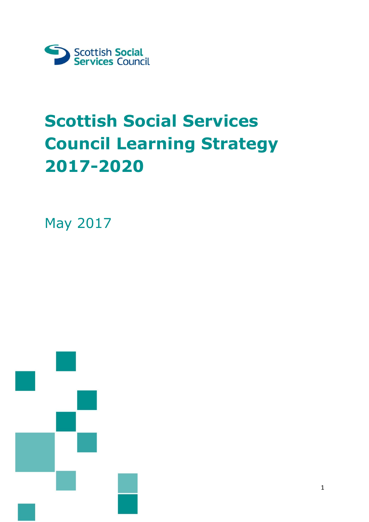

# **Scottish Social Services Council Learning Strategy 2017-2020**

May 2017

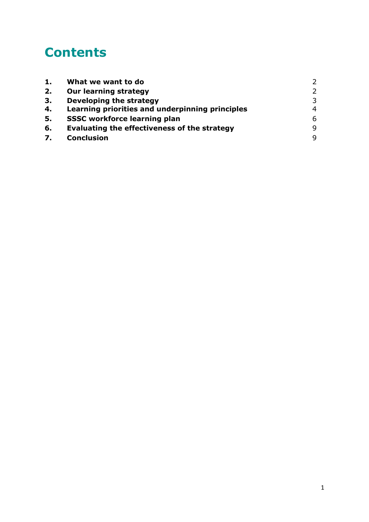# **Contents**

| 1. | What we want to do                              | $\mathcal{L}$ |
|----|-------------------------------------------------|---------------|
| 2. | <b>Our learning strategy</b>                    | $\mathcal{L}$ |
| 3. | Developing the strategy                         | 3             |
| 4. | Learning priorities and underpinning principles | 4             |
| 5. | <b>SSSC workforce learning plan</b>             | 6             |
| 6. | Evaluating the effectiveness of the strategy    | 9             |
| 7. | <b>Conclusion</b>                               | q             |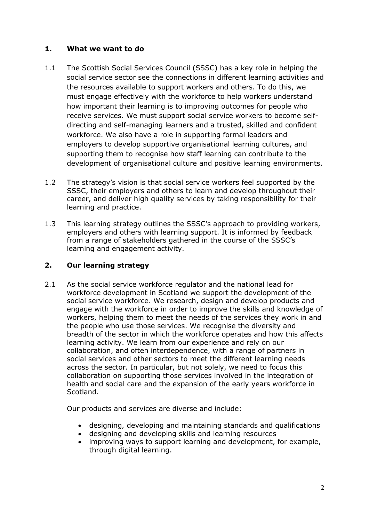# **1. What we want to do**

- 1.1 The Scottish Social Services Council (SSSC) has a key role in helping the social service sector see the connections in different learning activities and the resources available to support workers and others. To do this, we must engage effectively with the workforce to help workers understand how important their learning is to improving outcomes for people who receive services. We must support social service workers to become selfdirecting and self-managing learners and a trusted, skilled and confident workforce. We also have a role in supporting formal leaders and employers to develop supportive organisational learning cultures, and supporting them to recognise how staff learning can contribute to the development of organisational culture and positive learning environments.
- 1.2 The strategy's vision is that social service workers feel supported by the SSSC, their employers and others to learn and develop throughout their career, and deliver high quality services by taking responsibility for their learning and practice.
- 1.3 This learning strategy outlines the SSSC's approach to providing workers, employers and others with learning support. It is informed by feedback from a range of stakeholders gathered in the course of the SSSC's learning and engagement activity.

# **2. Our learning strategy**

2.1 As the social service workforce regulator and the national lead for workforce development in Scotland we support the development of the social service workforce. We research, design and develop products and engage with the workforce in order to improve the skills and knowledge of workers, helping them to meet the needs of the services they work in and the people who use those services. We recognise the diversity and breadth of the sector in which the workforce operates and how this affects learning activity. We learn from our experience and rely on our collaboration, and often interdependence, with a range of partners in social services and other sectors to meet the different learning needs across the sector. In particular, but not solely, we need to focus this collaboration on supporting those services involved in the integration of health and social care and the expansion of the early years workforce in Scotland.

Our products and services are diverse and include:

- designing, developing and maintaining standards and qualifications
- designing and developing skills and learning resources
- improving ways to support learning and development, for example, through digital learning.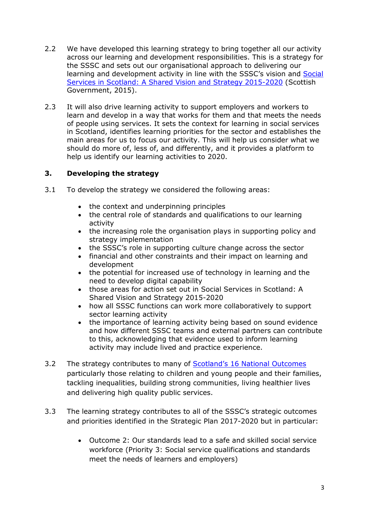- 2.2 We have developed this learning strategy to bring together all our activity across our learning and development responsibilities. This is a strategy for the SSSC and sets out our organisational approach to delivering our learning and development activity in line with the SSSC's vision and [Social](http://www.gov.scot/Resource/0047/00473374.pdf)  [Services in Scotland: A Shared Vision and Strategy 2015-2020](http://www.gov.scot/Resource/0047/00473374.pdf) (Scottish Government, 2015).
- 2.3 It will also drive learning activity to support employers and workers to learn and develop in a way that works for them and that meets the needs of people using services. It sets the context for learning in social services in Scotland, identifies learning priorities for the sector and establishes the main areas for us to focus our activity. This will help us consider what we should do more of, less of, and differently, and it provides a platform to help us identify our learning activities to 2020.

# **3. Developing the strategy**

- 3.1 To develop the strategy we considered the following areas:
	- the context and underpinning principles
	- the central role of standards and qualifications to our learning activity
	- the increasing role the organisation plays in supporting policy and strategy implementation
	- the SSSC's role in supporting culture change across the sector
	- financial and other constraints and their impact on learning and development
	- the potential for increased use of technology in learning and the need to develop digital capability
	- those areas for action set out in Social Services in Scotland: A Shared Vision and Strategy 2015-2020
	- how all SSSC functions can work more collaboratively to support sector learning activity
	- the importance of learning activity being based on sound evidence and how different SSSC teams and external partners can contribute to this, acknowledging that evidence used to inform learning activity may include lived and practice experience.
- 3.2 The strategy contributes to many of Scotland's 16 [National Outcomes](http://www.gov.scot/About/Performance/scotPerforms/outcome)  particularly those relating to children and young people and their families, tackling inequalities, building strong communities, living healthier lives and delivering high quality public services.
- 3.3 The learning strategy contributes to all of the SSSC's strategic outcomes and priorities identified in the Strategic Plan 2017-2020 but in particular:
	- Outcome 2: Our standards lead to a safe and skilled social service workforce (Priority 3: Social service qualifications and standards meet the needs of learners and employers)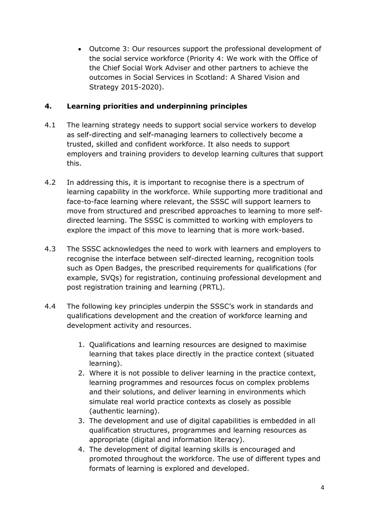Outcome 3: Our resources support the professional development of the social service workforce (Priority 4: We work with the Office of the Chief Social Work Adviser and other partners to achieve the outcomes in Social Services in Scotland: A Shared Vision and Strategy 2015-2020).

# **4. Learning priorities and underpinning principles**

- 4.1 The learning strategy needs to support social service workers to develop as self-directing and self-managing learners to collectively become a trusted, skilled and confident workforce. It also needs to support employers and training providers to develop learning cultures that support this.
- 4.2 In addressing this, it is important to recognise there is a spectrum of learning capability in the workforce. While supporting more traditional and face-to-face learning where relevant, the SSSC will support learners to move from structured and prescribed approaches to learning to more selfdirected learning. The SSSC is committed to working with employers to explore the impact of this move to learning that is more work-based.
- 4.3 The SSSC acknowledges the need to work with learners and employers to recognise the interface between self-directed learning, recognition tools such as Open Badges, the prescribed requirements for qualifications (for example, SVQs) for registration, continuing professional development and post registration training and learning (PRTL).
- 4.4 The following key principles underpin the SSSC's work in standards and qualifications development and the creation of workforce learning and development activity and resources.
	- 1. Qualifications and learning resources are designed to maximise learning that takes place directly in the practice context (situated learning).
	- 2. Where it is not possible to deliver learning in the practice context, learning programmes and resources focus on complex problems and their solutions, and deliver learning in environments which simulate real world practice contexts as closely as possible (authentic learning).
	- 3. The development and use of digital capabilities is embedded in all qualification structures, programmes and learning resources as appropriate (digital and information literacy).
	- 4. The development of digital learning skills is encouraged and promoted throughout the workforce. The use of different types and formats of learning is explored and developed.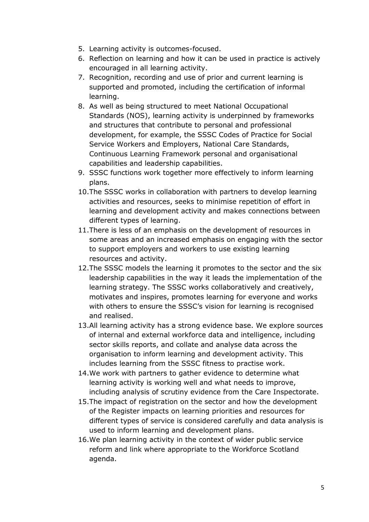- 5. Learning activity is outcomes-focused.
- 6. Reflection on learning and how it can be used in practice is actively encouraged in all learning activity.
- 7. Recognition, recording and use of prior and current learning is supported and promoted, including the certification of informal learning.
- 8. As well as being structured to meet National Occupational Standards (NOS), learning activity is underpinned by frameworks and structures that contribute to personal and professional development, for example, the SSSC Codes of Practice for Social Service Workers and Employers, National Care Standards, Continuous Learning Framework personal and organisational capabilities and leadership capabilities.
- 9. SSSC functions work together more effectively to inform learning plans.
- 10.The SSSC works in collaboration with partners to develop learning activities and resources, seeks to minimise repetition of effort in learning and development activity and makes connections between different types of learning.
- 11.There is less of an emphasis on the development of resources in some areas and an increased emphasis on engaging with the sector to support employers and workers to use existing learning resources and activity.
- 12.The SSSC models the learning it promotes to the sector and the six leadership capabilities in the way it leads the implementation of the learning strategy. The SSSC works collaboratively and creatively, motivates and inspires, promotes learning for everyone and works with others to ensure the SSSC's vision for learning is recognised and realised.
- 13.All learning activity has a strong evidence base. We explore sources of internal and external workforce data and intelligence, including sector skills reports, and collate and analyse data across the organisation to inform learning and development activity. This includes learning from the SSSC fitness to practise work.
- 14.We work with partners to gather evidence to determine what learning activity is working well and what needs to improve, including analysis of scrutiny evidence from the Care Inspectorate.
- 15.The impact of registration on the sector and how the development of the Register impacts on learning priorities and resources for different types of service is considered carefully and data analysis is used to inform learning and development plans.
- 16.We plan learning activity in the context of wider public service reform and link where appropriate to the Workforce Scotland agenda.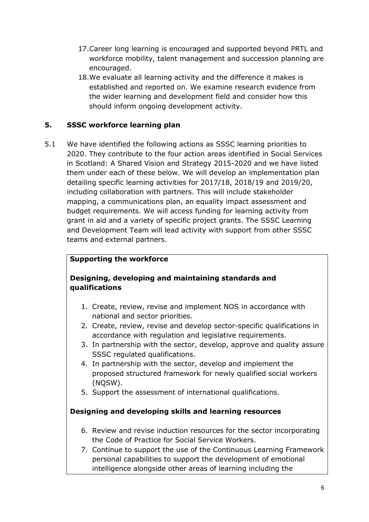- 17.Career long learning is encouraged and supported beyond PRTL and workforce mobility, talent management and succession planning are encouraged.
- 18.We evaluate all learning activity and the difference it makes is established and reported on. We examine research evidence from the wider learning and development field and consider how this should inform ongoing development activity.

# **5. SSSC workforce learning plan**

5.1 We have identified the following actions as SSSC learning priorities to 2020. They contribute to the four action areas identified in Social Services in Scotland: A Shared Vision and Strategy 2015-2020 and we have listed them under each of these below. We will develop an implementation plan detailing specific learning activities for 2017/18, 2018/19 and 2019/20, including collaboration with partners. This will include stakeholder mapping, a communications plan, an equality impact assessment and budget requirements. We will access funding for learning activity from grant in aid and a variety of specific project grants. The SSSC Learning and Development Team will lead activity with support from other SSSC teams and external partners.

# **Supporting the workforce**

# **Designing, developing and maintaining standards and qualifications**

- 1. Create, review, revise and implement NOS in accordance with national and sector priorities.
- 2. Create, review, revise and develop sector-specific qualifications in accordance with regulation and legislative requirements.
- 3. In partnership with the sector, develop, approve and quality assure SSSC regulated qualifications.
- 4. In partnership with the sector, develop and implement the proposed structured framework for newly qualified social workers (NQSW).
- 5. Support the assessment of international qualifications.

# **Designing and developing skills and learning resources**

- 6. Review and revise induction resources for the sector incorporating the Code of Practice for Social Service Workers.
- 7. Continue to support the use of the Continuous Learning Framework personal capabilities to support the development of emotional intelligence alongside other areas of learning including the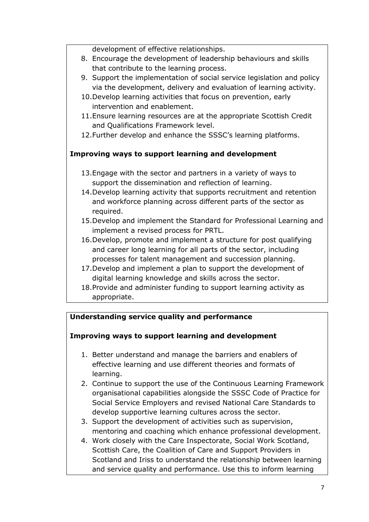development of effective relationships.

- 8. Encourage the development of leadership behaviours and skills that contribute to the learning process.
- 9. Support the implementation of social service legislation and policy via the development, delivery and evaluation of learning activity.
- 10.Develop learning activities that focus on prevention, early intervention and enablement.
- 11.Ensure learning resources are at the appropriate Scottish Credit and Qualifications Framework level.
- 12.Further develop and enhance the SSSC's learning platforms.

# **Improving ways to support learning and development**

- 13.Engage with the sector and partners in a variety of ways to support the dissemination and reflection of learning.
- 14.Develop learning activity that supports recruitment and retention and workforce planning across different parts of the sector as required.
- 15.Develop and implement the Standard for Professional Learning and implement a revised process for PRTL.
- 16.Develop, promote and implement a structure for post qualifying and career long learning for all parts of the sector, including processes for talent management and succession planning.
- 17.Develop and implement a plan to support the development of digital learning knowledge and skills across the sector.
- 18.Provide and administer funding to support learning activity as appropriate.

# **Understanding service quality and performance**

# **Improving ways to support learning and development**

- 1. Better understand and manage the barriers and enablers of effective learning and use different theories and formats of learning.
- 2. Continue to support the use of the Continuous Learning Framework organisational capabilities alongside the SSSC Code of Practice for Social Service Employers and revised National Care Standards to develop supportive learning cultures across the sector.
- 3. Support the development of activities such as supervision, mentoring and coaching which enhance professional development.
- 4. Work closely with the Care Inspectorate, Social Work Scotland, Scottish Care, the Coalition of Care and Support Providers in Scotland and Iriss to understand the relationship between learning and service quality and performance. Use this to inform learning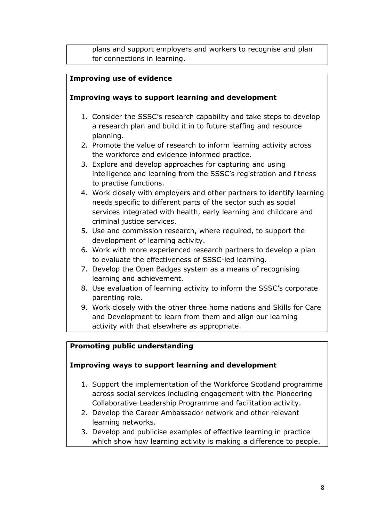plans and support employers and workers to recognise and plan for connections in learning.

# **Improving use of evidence**

#### **Improving ways to support learning and development**

- 1. Consider the SSSC's research capability and take steps to develop a research plan and build it in to future staffing and resource planning.
- 2. Promote the value of research to inform learning activity across the workforce and evidence informed practice.
- 3. Explore and develop approaches for capturing and using intelligence and learning from the SSSC's registration and fitness to practise functions.
- 4. Work closely with employers and other partners to identify learning needs specific to different parts of the sector such as social services integrated with health, early learning and childcare and criminal justice services.
- 5. Use and commission research, where required, to support the development of learning activity.
- 6. Work with more experienced research partners to develop a plan to evaluate the effectiveness of SSSC-led learning.
- 7. Develop the Open Badges system as a means of recognising learning and achievement.
- 8. Use evaluation of learning activity to inform the SSSC's corporate parenting role.
- 9. Work closely with the other three home nations and Skills for Care and Development to learn from them and align our learning activity with that elsewhere as appropriate.

# **Promoting public understanding**

#### **Improving ways to support learning and development**

- 1. Support the implementation of the Workforce Scotland programme across social services including engagement with the Pioneering Collaborative Leadership Programme and facilitation activity.
- 2. Develop the Career Ambassador network and other relevant learning networks.
- 3. Develop and publicise examples of effective learning in practice which show how learning activity is making a difference to people.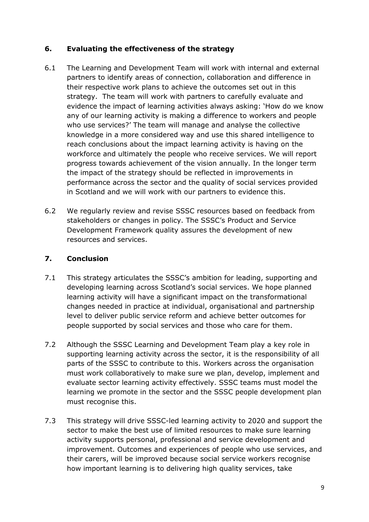### **6. Evaluating the effectiveness of the strategy**

- 6.1 The Learning and Development Team will work with internal and external partners to identify areas of connection, collaboration and difference in their respective work plans to achieve the outcomes set out in this strategy. The team will work with partners to carefully evaluate and evidence the impact of learning activities always asking: 'How do we know any of our learning activity is making a difference to workers and people who use services?' The team will manage and analyse the collective knowledge in a more considered way and use this shared intelligence to reach conclusions about the impact learning activity is having on the workforce and ultimately the people who receive services. We will report progress towards achievement of the vision annually. In the longer term the impact of the strategy should be reflected in improvements in performance across the sector and the quality of social services provided in Scotland and we will work with our partners to evidence this.
- 6.2 We regularly review and revise SSSC resources based on feedback from stakeholders or changes in policy. The SSSC's Product and Service Development Framework quality assures the development of new resources and services.

# **7. Conclusion**

- 7.1 This strategy articulates the SSSC's ambition for leading, supporting and developing learning across Scotland's social services. We hope planned learning activity will have a significant impact on the transformational changes needed in practice at individual, organisational and partnership level to deliver public service reform and achieve better outcomes for people supported by social services and those who care for them.
- 7.2 Although the SSSC Learning and Development Team play a key role in supporting learning activity across the sector, it is the responsibility of all parts of the SSSC to contribute to this. Workers across the organisation must work collaboratively to make sure we plan, develop, implement and evaluate sector learning activity effectively. SSSC teams must model the learning we promote in the sector and the SSSC people development plan must recognise this.
- 7.3 This strategy will drive SSSC-led learning activity to 2020 and support the sector to make the best use of limited resources to make sure learning activity supports personal, professional and service development and improvement. Outcomes and experiences of people who use services, and their carers, will be improved because social service workers recognise how important learning is to delivering high quality services, take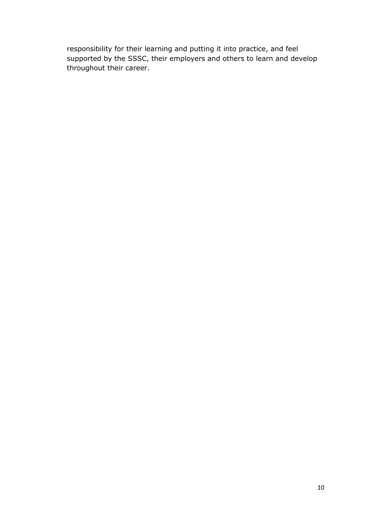responsibility for their learning and putting it into practice, and feel supported by the SSSC, their employers and others to learn and develop throughout their career.